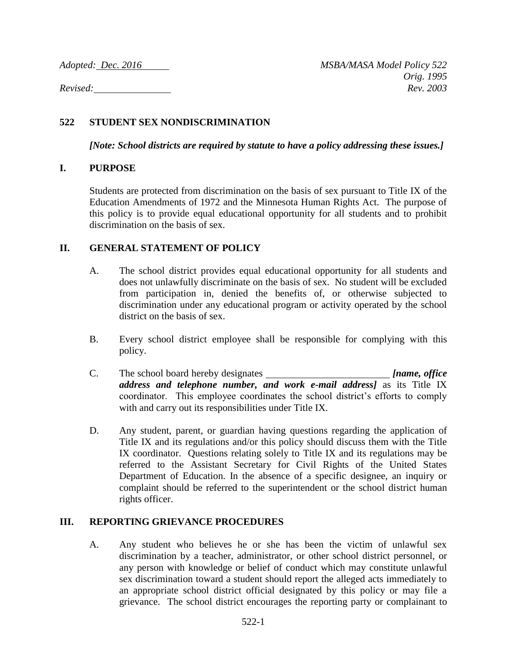# **522 STUDENT SEX NONDISCRIMINATION**

*[Note: School districts are required by statute to have a policy addressing these issues.]*

# **I. PURPOSE**

Students are protected from discrimination on the basis of sex pursuant to Title IX of the Education Amendments of 1972 and the Minnesota Human Rights Act. The purpose of this policy is to provide equal educational opportunity for all students and to prohibit discrimination on the basis of sex.

# **II. GENERAL STATEMENT OF POLICY**

- A. The school district provides equal educational opportunity for all students and does not unlawfully discriminate on the basis of sex. No student will be excluded from participation in, denied the benefits of, or otherwise subjected to discrimination under any educational program or activity operated by the school district on the basis of sex.
- B. Every school district employee shall be responsible for complying with this policy.
- C. The school board hereby designates *[name, office address and telephone number, and work e-mail address]* as its Title IX coordinator. This employee coordinates the school district's efforts to comply with and carry out its responsibilities under Title IX.
- D. Any student, parent, or guardian having questions regarding the application of Title IX and its regulations and/or this policy should discuss them with the Title IX coordinator. Questions relating solely to Title IX and its regulations may be referred to the Assistant Secretary for Civil Rights of the United States Department of Education. In the absence of a specific designee, an inquiry or complaint should be referred to the superintendent or the school district human rights officer.

#### **III. REPORTING GRIEVANCE PROCEDURES**

A. Any student who believes he or she has been the victim of unlawful sex discrimination by a teacher, administrator, or other school district personnel, or any person with knowledge or belief of conduct which may constitute unlawful sex discrimination toward a student should report the alleged acts immediately to an appropriate school district official designated by this policy or may file a grievance. The school district encourages the reporting party or complainant to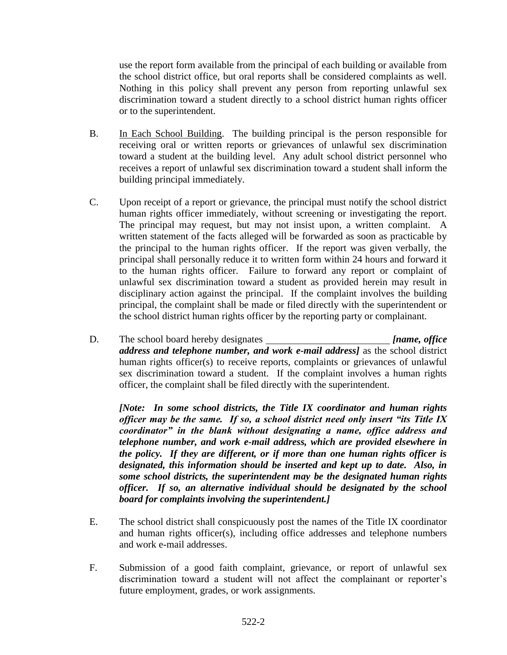use the report form available from the principal of each building or available from the school district office, but oral reports shall be considered complaints as well. Nothing in this policy shall prevent any person from reporting unlawful sex discrimination toward a student directly to a school district human rights officer or to the superintendent.

- B. In Each School Building. The building principal is the person responsible for receiving oral or written reports or grievances of unlawful sex discrimination toward a student at the building level. Any adult school district personnel who receives a report of unlawful sex discrimination toward a student shall inform the building principal immediately.
- C. Upon receipt of a report or grievance, the principal must notify the school district human rights officer immediately, without screening or investigating the report. The principal may request, but may not insist upon, a written complaint. A written statement of the facts alleged will be forwarded as soon as practicable by the principal to the human rights officer. If the report was given verbally, the principal shall personally reduce it to written form within 24 hours and forward it to the human rights officer. Failure to forward any report or complaint of unlawful sex discrimination toward a student as provided herein may result in disciplinary action against the principal. If the complaint involves the building principal, the complaint shall be made or filed directly with the superintendent or the school district human rights officer by the reporting party or complainant.
- D. The school board hereby designates *[name, office address and telephone number, and work e-mail address]* as the school district human rights officer(s) to receive reports, complaints or grievances of unlawful sex discrimination toward a student. If the complaint involves a human rights officer, the complaint shall be filed directly with the superintendent.

*[Note: In some school districts, the Title IX coordinator and human rights officer may be the same. If so, a school district need only insert "its Title IX coordinator" in the blank without designating a name, office address and telephone number, and work e-mail address, which are provided elsewhere in the policy. If they are different, or if more than one human rights officer is designated, this information should be inserted and kept up to date. Also, in some school districts, the superintendent may be the designated human rights officer. If so, an alternative individual should be designated by the school board for complaints involving the superintendent.]*

- E. The school district shall conspicuously post the names of the Title IX coordinator and human rights officer(s), including office addresses and telephone numbers and work e-mail addresses.
- F. Submission of a good faith complaint, grievance, or report of unlawful sex discrimination toward a student will not affect the complainant or reporter's future employment, grades, or work assignments.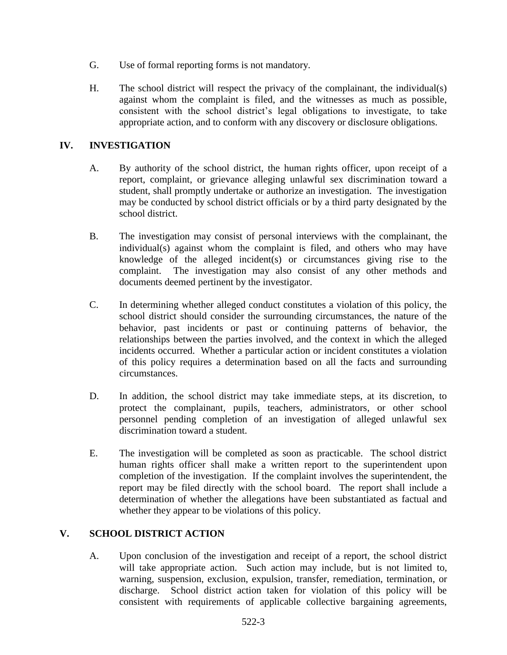- G. Use of formal reporting forms is not mandatory.
- H. The school district will respect the privacy of the complainant, the individual(s) against whom the complaint is filed, and the witnesses as much as possible, consistent with the school district's legal obligations to investigate, to take appropriate action, and to conform with any discovery or disclosure obligations.

### **IV. INVESTIGATION**

- A. By authority of the school district, the human rights officer, upon receipt of a report, complaint, or grievance alleging unlawful sex discrimination toward a student, shall promptly undertake or authorize an investigation. The investigation may be conducted by school district officials or by a third party designated by the school district.
- B. The investigation may consist of personal interviews with the complainant, the individual(s) against whom the complaint is filed, and others who may have knowledge of the alleged incident(s) or circumstances giving rise to the complaint. The investigation may also consist of any other methods and documents deemed pertinent by the investigator.
- C. In determining whether alleged conduct constitutes a violation of this policy, the school district should consider the surrounding circumstances, the nature of the behavior, past incidents or past or continuing patterns of behavior, the relationships between the parties involved, and the context in which the alleged incidents occurred. Whether a particular action or incident constitutes a violation of this policy requires a determination based on all the facts and surrounding circumstances.
- D. In addition, the school district may take immediate steps, at its discretion, to protect the complainant, pupils, teachers, administrators, or other school personnel pending completion of an investigation of alleged unlawful sex discrimination toward a student.
- E. The investigation will be completed as soon as practicable. The school district human rights officer shall make a written report to the superintendent upon completion of the investigation. If the complaint involves the superintendent, the report may be filed directly with the school board. The report shall include a determination of whether the allegations have been substantiated as factual and whether they appear to be violations of this policy.

# **V. SCHOOL DISTRICT ACTION**

A. Upon conclusion of the investigation and receipt of a report, the school district will take appropriate action. Such action may include, but is not limited to, warning, suspension, exclusion, expulsion, transfer, remediation, termination, or discharge. School district action taken for violation of this policy will be consistent with requirements of applicable collective bargaining agreements,